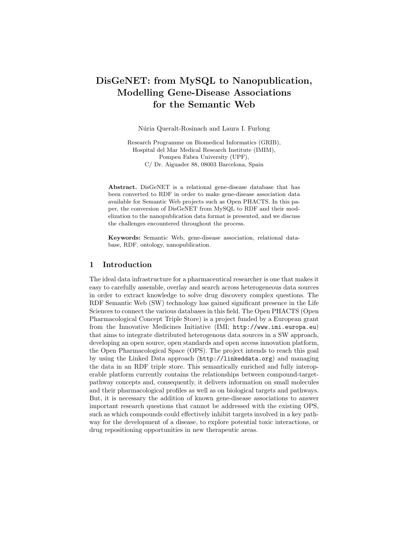# DisGeNET: from MySQL to Nanopublication, Modelling Gene-Disease Associations for the Semantic Web

Núria Queralt-Rosinach and Laura I. Furlong

Research Programme on Biomedical Informatics (GRIB), Hospital del Mar Medical Research Institute (IMIM), Pompeu Fabra University (UPF), C/ Dr. Aiguader 88, 08003 Barcelona, Spain

Abstract. DisGeNET is a relational gene-disease database that has been converted to RDF in order to make gene-disease association data available for Semantic Web projects such as Open PHACTS. In this paper, the conversion of DisGeNET from MySQL to RDF and their modelization to the nanopublication data format is presented, and we discuss the challenges encountered throughout the process.

Keywords: Semantic Web, gene-disease association, relational database, RDF, ontology, nanopublication.

## 1 Introduction

The ideal data infrastructure for a pharmaceutical researcher is one that makes it easy to carefully assemble, overlay and search across heterogeneous data sources in order to extract knowledge to solve drug discovery complex questions. The RDF Semantic Web (SW) technology has gained significant presence in the Life Sciences to connect the various databases in this field. The Open PHACTS (Open Pharmacological Concept Triple Store) is a project funded by a European grant from the Innovative Medicines Initiative (IMI; http://www.imi.europa.eu) that aims to integrate distributed heterogenous data sources in a SW approach, developing an open source, open standards and open access innovation platform, the Open Pharmacological Space (OPS). The project intends to reach this goal by using the Linked Data approach (http://linkeddata.org) and managing the data in an RDF triple store. This semantically enriched and fully interoperable platform currently contains the relationships between compound-targetpathway concepts and, consequently, it delivers information on small molecules and their pharmacological profiles as well as on biological targets and pathways. But, it is necessary the addition of known gene-disease associations to answer important research questions that cannot be addressed with the existing OPS, such as which compounds could effectively inhibit targets involved in a key pathway for the development of a disease, to explore potential toxic interactions, or drug repositioning opportunities in new therapeutic areas.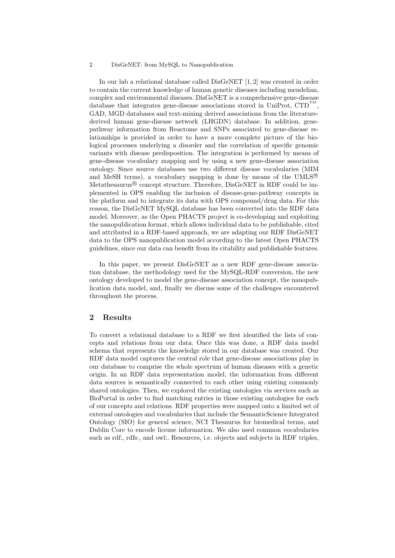#### 2 DisGeNET: from MySQL to Nanopublication

In our lab a relational database called DisGeNET [1, 2] was created in order to contain the current knowledge of human genetic diseases including mendelian, complex and environmental diseases. DisGeNET is a comprehensive gene-disease database that integrates gene-disease associations stored in UniProt,  $\text{CTD}^{\text{T}}$ , GAD, MGD databases and text-mining derived associations from the literaturederived human gene-disease network (LHGDN) database. In addition, genepathway information from Reactome and SNPs associated to gene-disease relationships is provided in order to have a more complete picture of the biological processes underlying a disorder and the correlation of specific genomic variants with disease predisposition. The integration is performed by means of gene-disease vocabulary mapping and by using a new gene-disease association ontology. Since source databases use two different disease vocabularies (MIM and MeSH terms), a vocabulary mapping is done by means of the UMLS<sup>®</sup> Metathesaurus<sup>®</sup> concept structure. Therefore, DisGeNET in RDF could be implemented in OPS enabling the inclusion of disease-gene-pathway concepts in the platform and to integrate its data with OPS compound/drug data. For this reason, the DisGeNET MySQL database has been converted into the RDF data model. Moreover, as the Open PHACTS project is co-developing and exploiting the nanopublication format, which allows individual data to be publishable, cited and attributed in a RDF-based approach, we are adapting our RDF DisGeNET data to the OPS nanopublication model according to the latest Open PHACTS guidelines, since our data can benefit from its citability and publishable features.

In this paper, we present DisGeNET as a new RDF gene-disease association database, the methodology used for the MySQL-RDF conversion, the new ontology developed to model the gene-disease association concept, the nanopublication data model, and, finally we discuss some of the challenges encountered throughout the process.

#### 2 Results

To convert a relational database to a RDF we first identified the lists of concepts and relations from our data. Once this was done, a RDF data model schema that represents the knowledge stored in our database was created. Our RDF data model captures the central role that gene-disease associations play in our database to comprise the whole spectrum of human diseases with a genetic origin. In an RDF data representation model, the information from different data sources is semantically connected to each other using existing commonly shared ontologies. Then, we explored the existing ontologies via services such as BioPortal in order to find matching entries in those existing ontologies for each of our concepts and relations. RDF properties were mapped onto a limited set of external ontologies and vocabularies that include the SemanticScience Integrated Ontology (SIO) for general science, NCI Thesaurus for biomedical terms, and Dublin Core to encode license information. We also used common vocabularies such as rdf:, rdfs:, and owl:. Resources, i.e. objects and subjects in RDF triples,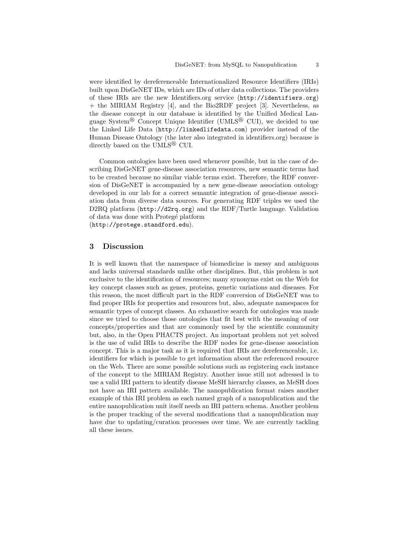were identified by dereferenceable Internationalized Resource Identifiers (IRIs) built upon DisGeNET IDs, which are IDs of other data collections. The providers of these IRIs are the new Identifiers.org service (http://identifiers.org) + the MIRIAM Registry [4], and the Bio2RDF project [3]. Nevertheless, as the disease concept in our database is identified by the Unified Medical Language System<sup>®</sup> Concept Unique Identifier (UMLS<sup>®</sup> CUI), we decided to use the Linked Life Data (http://linkedlifedata.com) provider instead of the Human Disease Ontology (the later also integrated in identifiers.org) because is directly based on the UMLS<sup>®</sup> CUI.

Common ontologies have been used whenever possible, but in the case of describing DisGeNET gene-disease association resources, new semantic terms had to be created because no similar viable terms exist. Therefore, the RDF conversion of DisGeNET is accompanied by a new gene-disease association ontology developed in our lab for a correct semantic integration of gene-disease association data from diverse data sources. For generating RDF triples we used the D2RQ platform (http://d2rq.org) and the RDF/Turtle language. Validation of data was done with Proteg´e platform (http://protege.standford.edu).

3 Discussion

It is well known that the namespace of biomedicine is messy and ambiguous and lacks universal standards unlike other disciplines. But, this problem is not exclusive to the identification of resources; many synonyms exist on the Web for key concept classes such as genes, proteins, genetic variations and diseases. For this reason, the most difficult part in the RDF conversion of DisGeNET was to find proper IRIs for properties and resources but, also, adequate namespaces for semantic types of concept classes. An exhaustive search for ontologies was made since we tried to choose those ontologies that fit best with the meaning of our concepts/properties and that are commonly used by the scientific community but, also, in the Open PHACTS project. An important problem not yet solved is the use of valid IRIs to describe the RDF nodes for gene-disease association concept. This is a major task as it is required that IRIs are dereferenceable, i.e. identifiers for which is possible to get information about the referenced resource on the Web. There are some possible solutions such as registering each instance of the concept to the MIRIAM Registry. Another issue still not adressed is to use a valid IRI pattern to identify disease MeSH hierarchy classes, as MeSH does not have an IRI pattern available. The nanopublication format raises another example of this IRI problem as each named graph of a nanopublication and the entire nanopublication unit itself needs an IRI pattern schema. Another problem is the proper tracking of the several modifications that a nanopublication may have due to updating/curation processes over time. We are currently tackling all these issues.